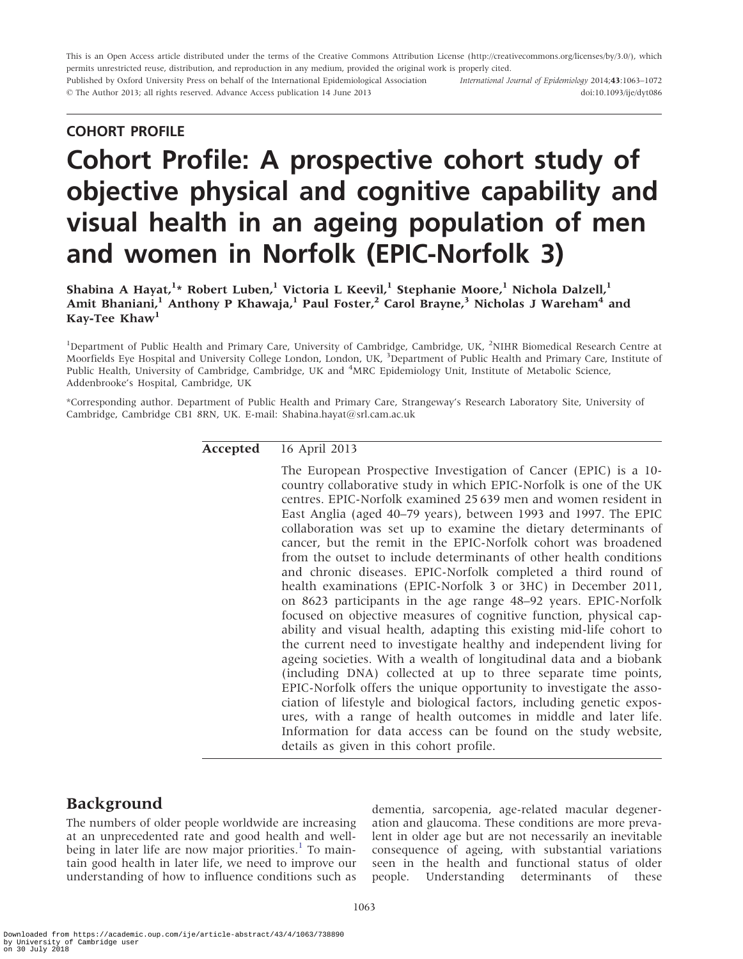This is an Open Access article distributed under the terms of the Creative Commons Attribution License (http://creativecommons.org/licenses/by/3.0/), which permits unrestricted reuse, distribution, and reproduction in any medium, provided the original work is properly cited. Published by Oxford University Press on behalf of the International Epidemiological Association International Journal of Epidemiology 2014;43:1063–1072

- The Author 2013; all rights reserved. Advance Access publication 14 June 2013

doi:10.1093/ije/dyt086

## COHORT PROFILE

# Cohort Profile: A prospective cohort study of objective physical and cognitive capability and visual health in an ageing population of men and women in Norfolk (EPIC-Norfolk 3)

Shabina A Hayat,<sup>1</sup>\* Robert Luben,<sup>1</sup> Victoria L Keevil,<sup>1</sup> Stephanie Moore,<sup>1</sup> Nichola Dalzell,<sup>1</sup> Amit Bhaniani,<sup>1</sup> Anthony P Khawaja,<sup>1</sup> Paul Foster,<sup>2</sup> Carol Brayne,<sup>3</sup> Nicholas J Wareham<sup>4</sup> and Kay-Tee Khaw<sup>1</sup>

<sup>1</sup>Department of Public Health and Primary Care, University of Cambridge, Cambridge, UK, <sup>2</sup>NIHR Biomedical Research Centre at Moorfields Eye Hospital and University College London, London, UK, <sup>3</sup>Department of Public Health and Primary Care, Institute of Public Health, University of Cambridge, Cambridge, UK and <sup>4</sup>MRC Epidemiology Unit, Institute of Metabolic Science, Addenbrooke's Hospital, Cambridge, UK

\*Corresponding author. Department of Public Health and Primary Care, Strangeway's Research Laboratory Site, University of Cambridge, Cambridge CB1 8RN, UK. E-mail: Shabina.hayat@srl.cam.ac.uk

Accepted 16 April 2013

The European Prospective Investigation of Cancer (EPIC) is a 10 country collaborative study in which EPIC-Norfolk is one of the UK centres. EPIC-Norfolk examined 25 639 men and women resident in East Anglia (aged 40–79 years), between 1993 and 1997. The EPIC collaboration was set up to examine the dietary determinants of cancer, but the remit in the EPIC-Norfolk cohort was broadened from the outset to include determinants of other health conditions and chronic diseases. EPIC-Norfolk completed a third round of health examinations (EPIC-Norfolk 3 or 3HC) in December 2011, on 8623 participants in the age range 48–92 years. EPIC-Norfolk focused on objective measures of cognitive function, physical capability and visual health, adapting this existing mid-life cohort to the current need to investigate healthy and independent living for ageing societies. With a wealth of longitudinal data and a biobank (including DNA) collected at up to three separate time points, EPIC-Norfolk offers the unique opportunity to investigate the association of lifestyle and biological factors, including genetic exposures, with a range of health outcomes in middle and later life. Information for data access can be found on the study website, details as given in this cohort profile.

# **Background**

The numbers of older people worldwide are increasing at an unprecedented rate and good health and well-being in later life are now major priorities.<sup>[1](#page-9-0)</sup> To maintain good health in later life, we need to improve our understanding of how to influence conditions such as dementia, sarcopenia, age-related macular degeneration and glaucoma. These conditions are more prevalent in older age but are not necessarily an inevitable consequence of ageing, with substantial variations seen in the health and functional status of older people. Understanding determinants of these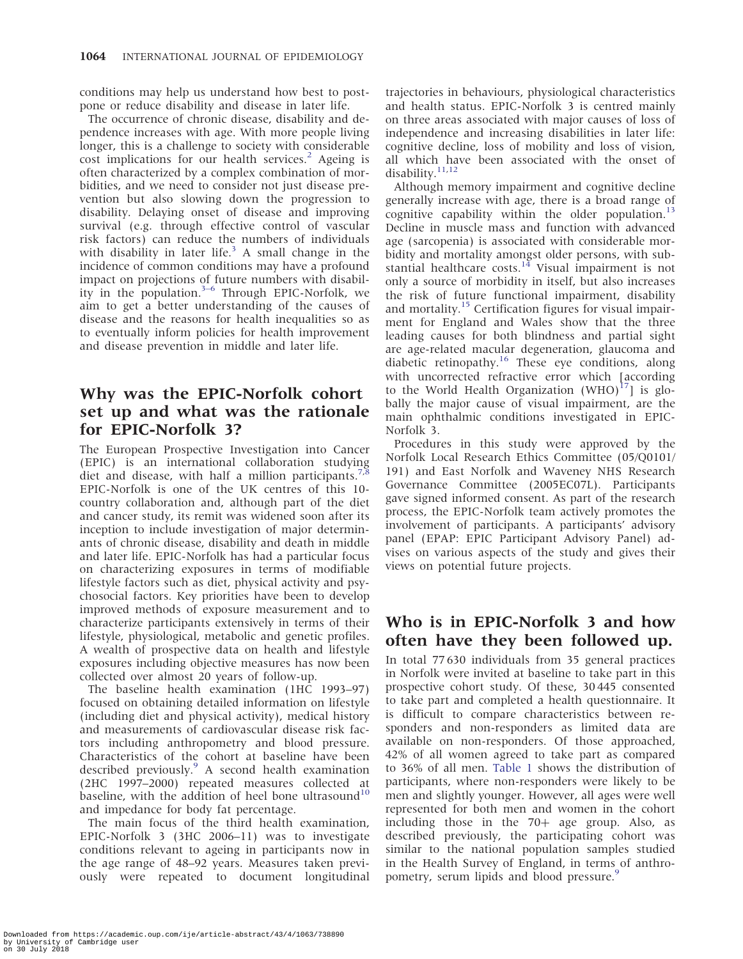conditions may help us understand how best to postpone or reduce disability and disease in later life.

The occurrence of chronic disease, disability and dependence increases with age. With more people living longer, this is a challenge to society with considerable cost implications for our health services. $\alpha$ <sup>[2](#page-9-0)</sup> Ageing is often characterized by a complex combination of morbidities, and we need to consider not just disease prevention but also slowing down the progression to disability. Delaying onset of disease and improving survival (e.g. through effective control of vascular risk factors) can reduce the numbers of individuals with disability in later life.<sup>[3](#page-9-0)</sup> A small change in the incidence of common conditions may have a profound impact on projections of future numbers with disabil-ity in the population.<sup>[3–6](#page-9-0)</sup> Through EPIC-Norfolk, we aim to get a better understanding of the causes of disease and the reasons for health inequalities so as to eventually inform policies for health improvement and disease prevention in middle and later life.

## Why was the EPIC-Norfolk cohort set up and what was the rationale for EPIC-Norfolk 3?

The European Prospective Investigation into Cancer (EPIC) is an international collaboration studying diet and disease, with half a million participants.<sup>7,</sup> EPIC-Norfolk is one of the UK centres of this 10 country collaboration and, although part of the diet and cancer study, its remit was widened soon after its inception to include investigation of major determinants of chronic disease, disability and death in middle and later life. EPIC-Norfolk has had a particular focus on characterizing exposures in terms of modifiable lifestyle factors such as diet, physical activity and psychosocial factors. Key priorities have been to develop improved methods of exposure measurement and to characterize participants extensively in terms of their lifestyle, physiological, metabolic and genetic profiles. A wealth of prospective data on health and lifestyle exposures including objective measures has now been collected over almost 20 years of follow-up.

The baseline health examination (1HC 1993–97) focused on obtaining detailed information on lifestyle (including diet and physical activity), medical history and measurements of cardiovascular disease risk factors including anthropometry and blood pressure. Characteristics of the cohort at baseline have been described previously.[9](#page-9-0) A second health examination (2HC 1997–2000) repeated measures collected at baseline, with the addition of heel bone ultrasound<sup>[10](#page-9-0)</sup> and impedance for body fat percentage.

The main focus of the third health examination, EPIC-Norfolk 3 (3HC 2006–11) was to investigate conditions relevant to ageing in participants now in the age range of 48–92 years. Measures taken previously were repeated to document longitudinal

trajectories in behaviours, physiological characteristics and health status. EPIC-Norfolk 3 is centred mainly on three areas associated with major causes of loss of independence and increasing disabilities in later life: cognitive decline, loss of mobility and loss of vision, all which have been associated with the onset of disability.<sup>[11,12](#page-9-0)</sup>

Although memory impairment and cognitive decline generally increase with age, there is a broad range of cognitive capability within the older population. $^{13}$  $^{13}$  $^{13}$ Decline in muscle mass and function with advanced age (sarcopenia) is associated with considerable morbidity and mortality amongst older persons, with sub-stantial healthcare costs.<sup>[14](#page-9-0)</sup> Visual impairment is not only a source of morbidity in itself, but also increases the risk of future functional impairment, disability and mortality.<sup>[15](#page-9-0)</sup> Certification figures for visual impairment for England and Wales show that the three leading causes for both blindness and partial sight are age-related macular degeneration, glaucoma and diabetic retinopathy.<sup>[16](#page-9-0)</sup> These eye conditions, along with uncorrected refractive error which [according to the World Health Organization (WHO)<sup>17</sup>] is globally the major cause of visual impairment, are the main ophthalmic conditions investigated in EPIC-Norfolk 3.

Procedures in this study were approved by the Norfolk Local Research Ethics Committee (05/Q0101/ 191) and East Norfolk and Waveney NHS Research Governance Committee (2005EC07L). Participants gave signed informed consent. As part of the research process, the EPIC-Norfolk team actively promotes the involvement of participants. A participants' advisory panel (EPAP: EPIC Participant Advisory Panel) advises on various aspects of the study and gives their views on potential future projects.

## Who is in EPIC-Norfolk 3 and how often have they been followed up.

In total 77 630 individuals from 35 general practices in Norfolk were invited at baseline to take part in this prospective cohort study. Of these, 30 445 consented to take part and completed a health questionnaire. It is difficult to compare characteristics between responders and non-responders as limited data are available on non-responders. Of those approached, 42% of all women agreed to take part as compared to 36% of all men. [Table 1](#page-2-0) shows the distribution of participants, where non-responders were likely to be men and slightly younger. However, all ages were well represented for both men and women in the cohort including those in the  $70+$  age group. Also, as described previously, the participating cohort was similar to the national population samples studied in the Health Survey of England, in terms of anthro-pometry, serum lipids and blood pressure.<sup>[9](#page-9-0)</sup>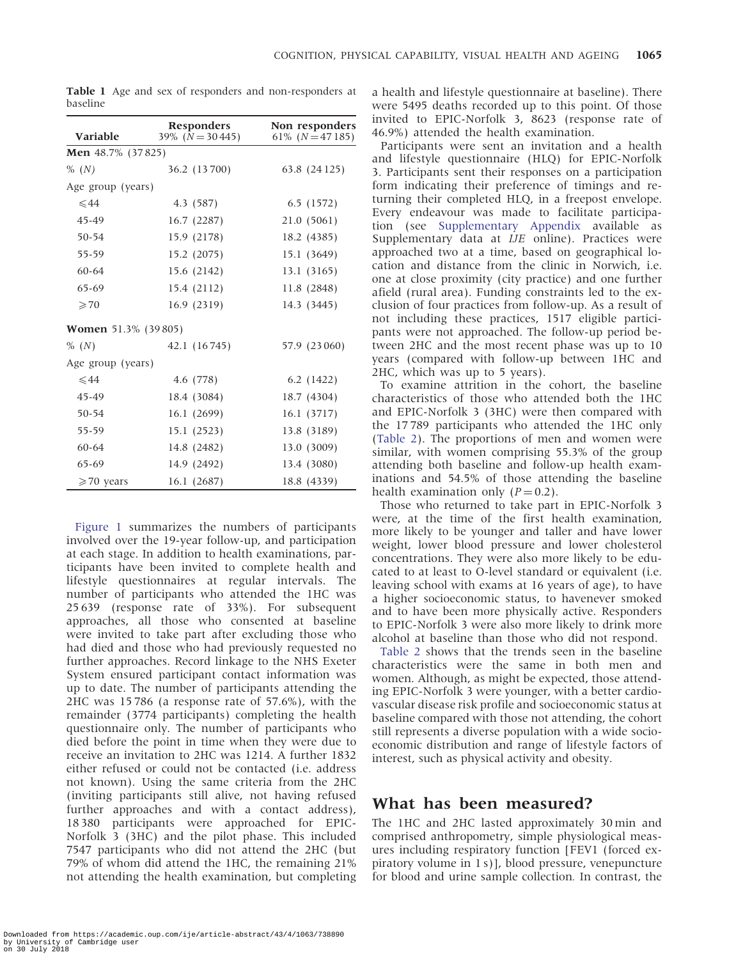| Variable                   | Responders<br>$39\%$ ( $N = 30445$ ) | Non responders<br>61% ( $N = 47185$ ) |  |
|----------------------------|--------------------------------------|---------------------------------------|--|
| Men 48.7% (37825)          |                                      |                                       |  |
| % $(N)$                    | 36.2 (13 700)                        | 63.8 (24 125)                         |  |
| Age group (years)          |                                      |                                       |  |
| $\leqslant$ 44             | 4.3 (587)                            | 6.5(1572)                             |  |
| 45-49                      | 16.7(2287)                           | 21.0 (5061)                           |  |
| 50-54                      | 15.9 (2178)                          | 18.2 (4385)                           |  |
| 55-59                      | 15.2 (2075)                          | 15.1 (3649)                           |  |
| $60 - 64$                  | 15.6 (2142)                          | 13.1 (3165)                           |  |
| 65-69                      | 15.4 (2112)                          | 11.8 (2848)                           |  |
| $\geqslant$ 70             | 16.9(2319)                           | 14.3 (3445)                           |  |
| <b>Women</b> 51.3% (39805) |                                      |                                       |  |
| % $(N)$                    | 42.1 (16745)                         | 57.9 (23 060)                         |  |
| Age group (years)          |                                      |                                       |  |
| $\leq 44$                  | 4.6 (778)                            | 6.2(1422)                             |  |
| 45-49                      | 18.4 (3084)                          | 18.7 (4304)                           |  |
| $50 - 54$                  | 16.1 $(2699)$                        | 16.1 (3717)                           |  |
| 55-59                      | 15.1 (2523)                          | 13.8 (3189)                           |  |
| $60 - 64$                  | 14.8 (2482)                          | 13.0 (3009)                           |  |
| $65 - 69$                  | 14.9 (2492)                          | 13.4 (3080)                           |  |
| $\geqslant$ 70 years       | 16.1(2687)                           | 18.8 (4339)                           |  |

<span id="page-2-0"></span>Table 1 Age and sex of responders and non-responders at baseline

[Figure 1](#page-3-0) summarizes the numbers of participants involved over the 19-year follow-up, and participation at each stage. In addition to health examinations, participants have been invited to complete health and lifestyle questionnaires at regular intervals. The number of participants who attended the 1HC was 25 639 (response rate of 33%). For subsequent approaches, all those who consented at baseline were invited to take part after excluding those who had died and those who had previously requested no further approaches. Record linkage to the NHS Exeter System ensured participant contact information was up to date. The number of participants attending the 2HC was 15 786 (a response rate of 57.6%), with the remainder (3774 participants) completing the health questionnaire only. The number of participants who died before the point in time when they were due to receive an invitation to 2HC was 1214. A further 1832 either refused or could not be contacted (i.e. address not known). Using the same criteria from the 2HC (inviting participants still alive, not having refused further approaches and with a contact address), 18 380 participants were approached for EPIC-Norfolk 3 (3HC) and the pilot phase. This included 7547 participants who did not attend the 2HC (but 79% of whom did attend the 1HC, the remaining 21% not attending the health examination, but completing

a health and lifestyle questionnaire at baseline). There were 5495 deaths recorded up to this point. Of those invited to EPIC-Norfolk 3, 8623 (response rate of 46.9%) attended the health examination.

Participants were sent an invitation and a health and lifestyle questionnaire (HLQ) for EPIC-Norfolk 3. Participants sent their responses on a participation form indicating their preference of timings and returning their completed HLQ, in a freepost envelope. Every endeavour was made to facilitate participation (see [Supplementary Appendix](http://ije.oxfordjournals.org/lookup/suppl/doi:10.1093/ije/dyt086/-/DC1) available as Supplementary data at *IJE* online). Practices were approached two at a time, based on geographical location and distance from the clinic in Norwich, i.e. one at close proximity (city practice) and one further afield (rural area). Funding constraints led to the exclusion of four practices from follow-up. As a result of not including these practices, 1517 eligible participants were not approached. The follow-up period between 2HC and the most recent phase was up to 10 years (compared with follow-up between 1HC and 2HC, which was up to 5 years).

To examine attrition in the cohort, the baseline characteristics of those who attended both the 1HC and EPIC-Norfolk 3 (3HC) were then compared with the 17 789 participants who attended the 1HC only ([Table 2\)](#page-4-0). The proportions of men and women were similar, with women comprising 55.3% of the group attending both baseline and follow-up health examinations and 54.5% of those attending the baseline health examination only  $(P = 0.2)$ .

Those who returned to take part in EPIC-Norfolk 3 were, at the time of the first health examination, more likely to be younger and taller and have lower weight, lower blood pressure and lower cholesterol concentrations. They were also more likely to be educated to at least to O-level standard or equivalent (i.e. leaving school with exams at 16 years of age), to have a higher socioeconomic status, to havenever smoked and to have been more physically active. Responders to EPIC-Norfolk 3 were also more likely to drink more alcohol at baseline than those who did not respond.

[Table 2](#page-4-0) shows that the trends seen in the baseline characteristics were the same in both men and women. Although, as might be expected, those attending EPIC-Norfolk 3 were younger, with a better cardiovascular disease risk profile and socioeconomic status at baseline compared with those not attending, the cohort still represents a diverse population with a wide socioeconomic distribution and range of lifestyle factors of interest, such as physical activity and obesity.

## What has been measured?

The 1HC and 2HC lasted approximately 30 min and comprised anthropometry, simple physiological measures including respiratory function [FEV1 (forced expiratory volume in 1 s)], blood pressure, venepuncture for blood and urine sample collection. In contrast, the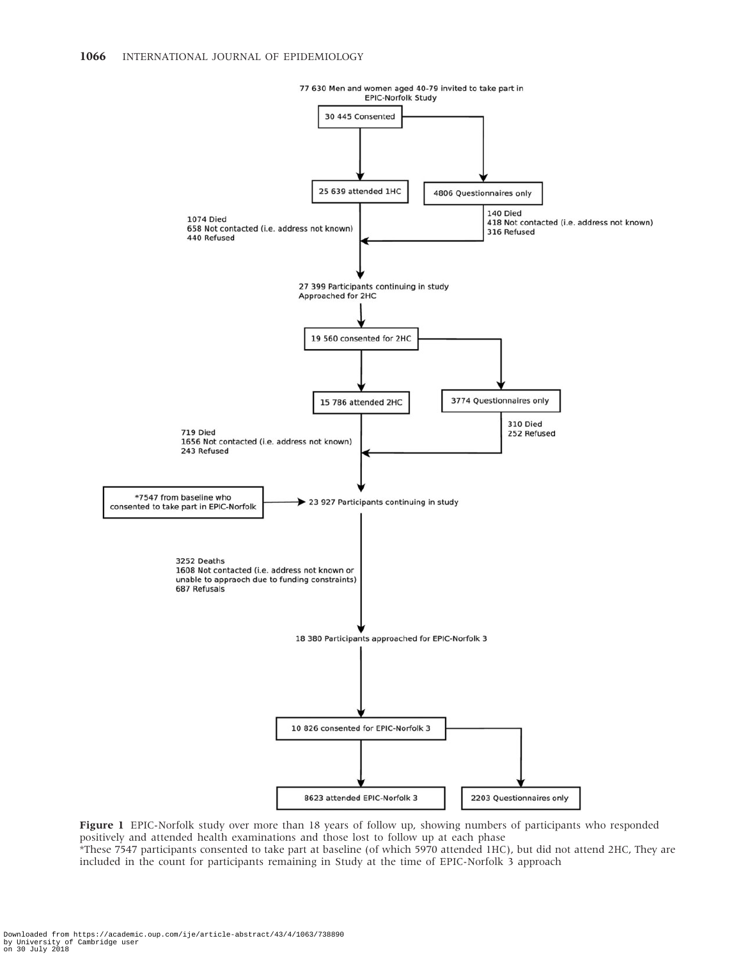<span id="page-3-0"></span>

Figure 1 EPIC-Norfolk study over more than 18 years of follow up, showing numbers of participants who responded positively and attended health examinations and those lost to follow up at each phase

\*These 7547 participants consented to take part at baseline (of which 5970 attended 1HC), but did not attend 2HC, They are included in the count for participants remaining in Study at the time of EPIC-Norfolk 3 approach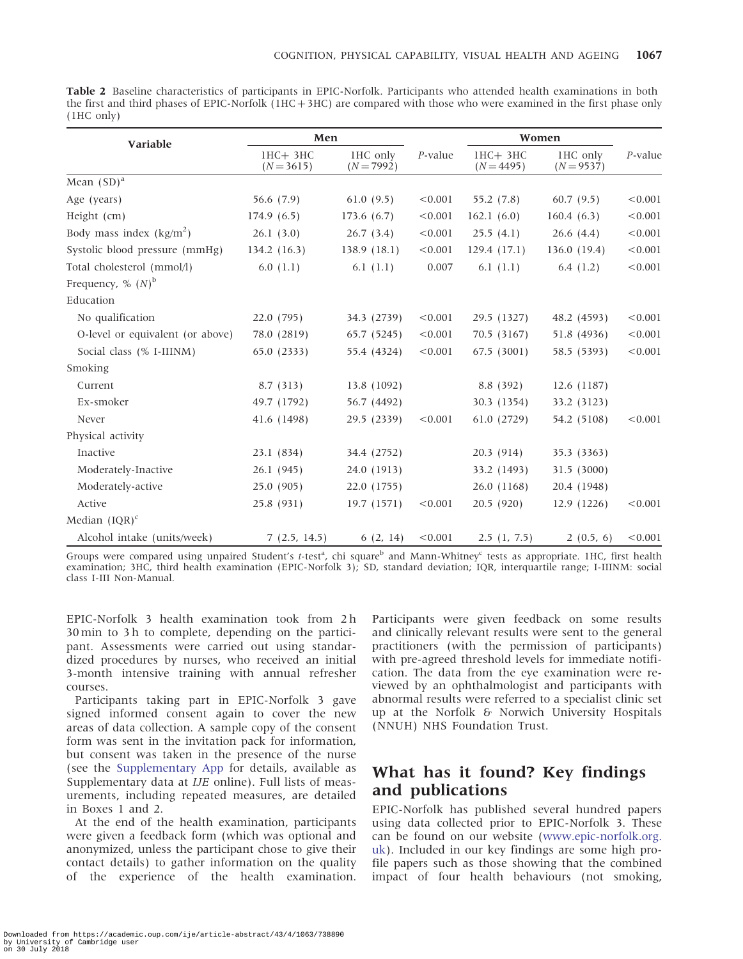<span id="page-4-0"></span>Table 2 Baseline characteristics of participants in EPIC-Norfolk. Participants who attended health examinations in both the first and third phases of EPIC-Norfolk (1HC  $+$  3HC) are compared with those who were examined in the first phase only (1HC only)

| Variable                         | Men                         |                          |            | Women                       |                          |            |
|----------------------------------|-----------------------------|--------------------------|------------|-----------------------------|--------------------------|------------|
|                                  | $1HC + 3HC$<br>$(N = 3615)$ | 1HC only<br>$(N = 7992)$ | $P$ -value | $1HC + 3HC$<br>$(N = 4495)$ | 1HC only<br>$(N = 9537)$ | $P$ -value |
| Mean $(SD)^{\overline{a}}$       |                             |                          |            |                             |                          |            |
| Age (years)                      | 56.6 (7.9)                  | 61.0(9.5)                | < 0.001    | 55.2 (7.8)                  | 60.7(9.5)                | < 0.001    |
| Height (cm)                      | 174.9(6.5)                  | 173.6(6.7)               | < 0.001    | 162.1(6.0)                  | 160.4(6.3)               | < 0.001    |
| Body mass index $(kg/m2)$        | 26.1(3.0)                   | 26.7(3.4)                | < 0.001    | 25.5(4.1)                   | 26.6(4.4)                | < 0.001    |
| Systolic blood pressure (mmHg)   | 134.2(16.3)                 | 138.9(18.1)              | < 0.001    | 129.4(17.1)                 | 136.0 (19.4)             | < 0.001    |
| Total cholesterol (mmol/l)       | 6.0(1.1)                    | 6.1 $(1.1)$              | 0.007      | 6.1(1.1)                    | 6.4 $(1.2)$              | < 0.001    |
| Frequency, % $(N)^{b}$           |                             |                          |            |                             |                          |            |
| Education                        |                             |                          |            |                             |                          |            |
| No qualification                 | 22.0 (795)                  | 34.3 (2739)              | < 0.001    | 29.5 (1327)                 | 48.2 (4593)              | < 0.001    |
| O-level or equivalent (or above) | 78.0 (2819)                 | 65.7 (5245)              | < 0.001    | 70.5 (3167)                 | 51.8 (4936)              | < 0.001    |
| Social class (% I-IIINM)         | 65.0(2333)                  | 55.4 (4324)              | < 0.001    | 67.5 (3001)                 | 58.5 (5393)              | < 0.001    |
| Smoking                          |                             |                          |            |                             |                          |            |
| Current                          | 8.7(313)                    | 13.8 (1092)              |            | 8.8 (392)                   | 12.6(1187)               |            |
| Ex-smoker                        | 49.7 (1792)                 | 56.7 (4492)              |            | 30.3 (1354)                 | 33.2 (3123)              |            |
| Never                            | 41.6 (1498)                 | 29.5 (2339)              | < 0.001    | 61.0(2729)                  | 54.2 (5108)              | < 0.001    |
| Physical activity                |                             |                          |            |                             |                          |            |
| Inactive                         | 23.1 (834)                  | 34.4 (2752)              |            | 20.3(914)                   | 35.3 (3363)              |            |
| Moderately-Inactive              | 26.1 (945)                  | 24.0 (1913)              |            | 33.2 (1493)                 | 31.5 (3000)              |            |
| Moderately-active                | 25.0(905)                   | 22.0 (1755)              |            | 26.0 (1168)                 | 20.4 (1948)              |            |
| Active                           | 25.8 (931)                  | 19.7 (1571)              | < 0.001    | 20.5(920)                   | 12.9 (1226)              | < 0.001    |
| Median $(IQR)^c$                 |                             |                          |            |                             |                          |            |
| Alcohol intake (units/week)      | 7(2.5, 14.5)                | 6(2, 14)                 | < 0.001    | 2.5(1, 7.5)                 | 2(0.5, 6)                | < 0.001    |

Groups were compared using unpaired Student's t-test<sup>a</sup>, chi square<sup>b</sup> and Mann-Whitney<sup>c</sup> tests as appropriate. 1HC, first health examination; 3HC, third health examination (EPIC-Norfolk 3); SD, standard deviation; IQR, interquartile range; I-IIINM: social class I-III Non-Manual.

EPIC-Norfolk 3 health examination took from 2 h 30 min to 3 h to complete, depending on the participant. Assessments were carried out using standardized procedures by nurses, who received an initial 3-month intensive training with annual refresher courses.

Participants taking part in EPIC-Norfolk 3 gave signed informed consent again to cover the new areas of data collection. A sample copy of the consent form was sent in the invitation pack for information, but consent was taken in the presence of the nurse (see the [Supplementary App](http://ije.oxfordjournals.org/lookup/suppl/doi:10.1093/ije/dyt086/-/DC1) for details, available as Supplementary data at *IJE* online). Full lists of measurements, including repeated measures, are detailed in Boxes 1 and 2.

At the end of the health examination, participants were given a feedback form (which was optional and anonymized, unless the participant chose to give their contact details) to gather information on the quality of the experience of the health examination.

Participants were given feedback on some results and clinically relevant results were sent to the general practitioners (with the permission of participants) with pre-agreed threshold levels for immediate notification. The data from the eye examination were reviewed by an ophthalmologist and participants with abnormal results were referred to a specialist clinic set up at the Norfolk & Norwich University Hospitals (NNUH) NHS Foundation Trust.

# What has it found? Key findings and publications

EPIC-Norfolk has published several hundred papers using data collected prior to EPIC-Norfolk 3. These can be found on our website ([www.epic-norfolk.org.](www.epic-norfolk.org.uk) [uk](www.epic-norfolk.org.uk)). Included in our key findings are some high profile papers such as those showing that the combined impact of four health behaviours (not smoking,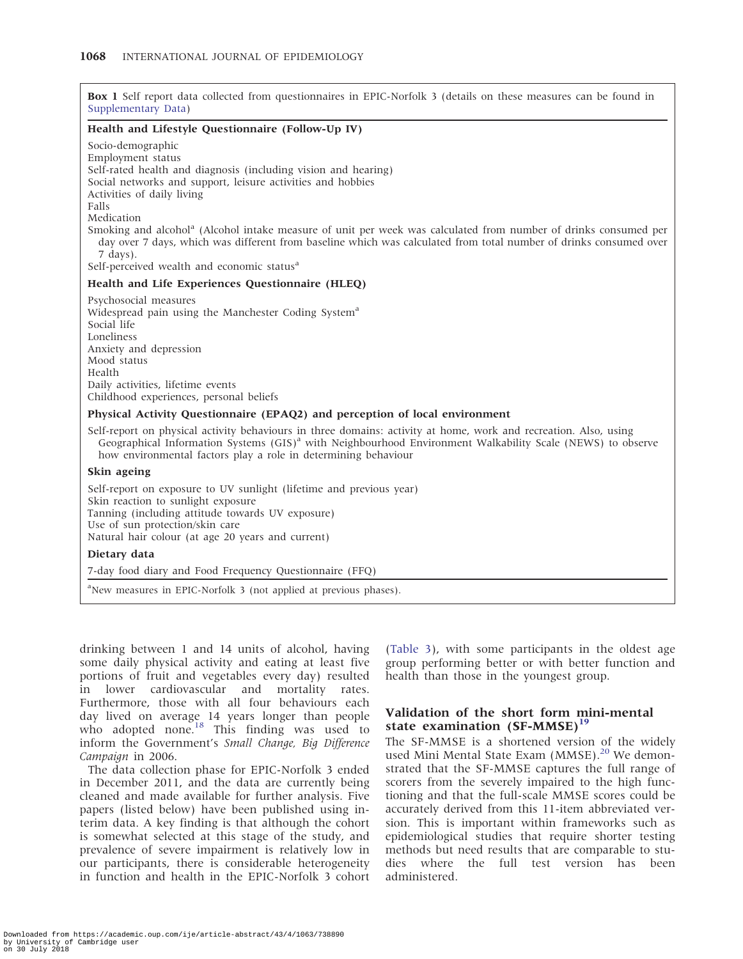Box 1 Self report data collected from questionnaires in EPIC-Norfolk 3 (details on these measures can be found in [Supplementary Data\)](http://ije.oxfordjournals.org/lookup/suppl/doi:10.1093/ije/dyt086/-/DC1)

#### Health and Lifestyle Questionnaire (Follow-Up IV)

Socio-demographic Employment status Self-rated health and diagnosis (including vision and hearing) Social networks and support, leisure activities and hobbies Activities of daily living Falls Medication Smoking and alcohol<sup>a</sup> (Alcohol intake measure of unit per week was calculated from number of drinks consumed per day over 7 days, which was different from baseline which was calculated from total number of drinks consumed over 7 days). Self-perceived wealth and economic status<sup>a</sup> Health and Life Experiences Questionnaire (HLEQ) Psychosocial measures Widespread pain using the Manchester Coding System<sup>a</sup> Social life Loneliness Anxiety and depression Mood status Health Daily activities, lifetime events Childhood experiences, personal beliefs Physical Activity Questionnaire (EPAQ2) and perception of local environment Self-report on physical activity behaviours in three domains: activity at home, work and recreation. Also, using Geographical Information Systems (GIS)<sup>a</sup> with Neighbourhood Environment Walkability Scale (NEWS) to observe how environmental factors play a role in determining behaviour Skin ageing Self-report on exposure to UV sunlight (lifetime and previous year) Skin reaction to sunlight exposure Tanning (including attitude towards UV exposure) Use of sun protection/skin care Natural hair colour (at age 20 years and current) Dietary data 7-day food diary and Food Frequency Questionnaire (FFQ) <sup>a</sup>New measures in EPIC-Norfolk 3 (not applied at previous phases).

drinking between 1 and 14 units of alcohol, having some daily physical activity and eating at least five portions of fruit and vegetables every day) resulted in lower cardiovascular and mortality rates. Furthermore, those with all four behaviours each day lived on average 14 years longer than people who adopted none. $18$  This finding was used to inform the Government's Small Change, Big Difference Campaign in 2006.

The data collection phase for EPIC-Norfolk 3 ended in December 2011, and the data are currently being cleaned and made available for further analysis. Five papers (listed below) have been published using interim data. A key finding is that although the cohort is somewhat selected at this stage of the study, and prevalence of severe impairment is relatively low in our participants, there is considerable heterogeneity in function and health in the EPIC-Norfolk 3 cohort

([Table 3\)](#page-7-0), with some participants in the oldest age group performing better or with better function and health than those in the youngest group.

#### Validation of the short form mini-mental state examination  $(SF\text{-MMSE})^{19}$  $(SF\text{-MMSE})^{19}$  $(SF\text{-MMSE})^{19}$

The SF-MMSE is a shortened version of the widely used Mini Mental State Exam (MMSE).<sup>[20](#page-9-0)</sup> We demonstrated that the SF-MMSE captures the full range of scorers from the severely impaired to the high functioning and that the full-scale MMSE scores could be accurately derived from this 11-item abbreviated version. This is important within frameworks such as epidemiological studies that require shorter testing methods but need results that are comparable to studies where the full test version has been administered.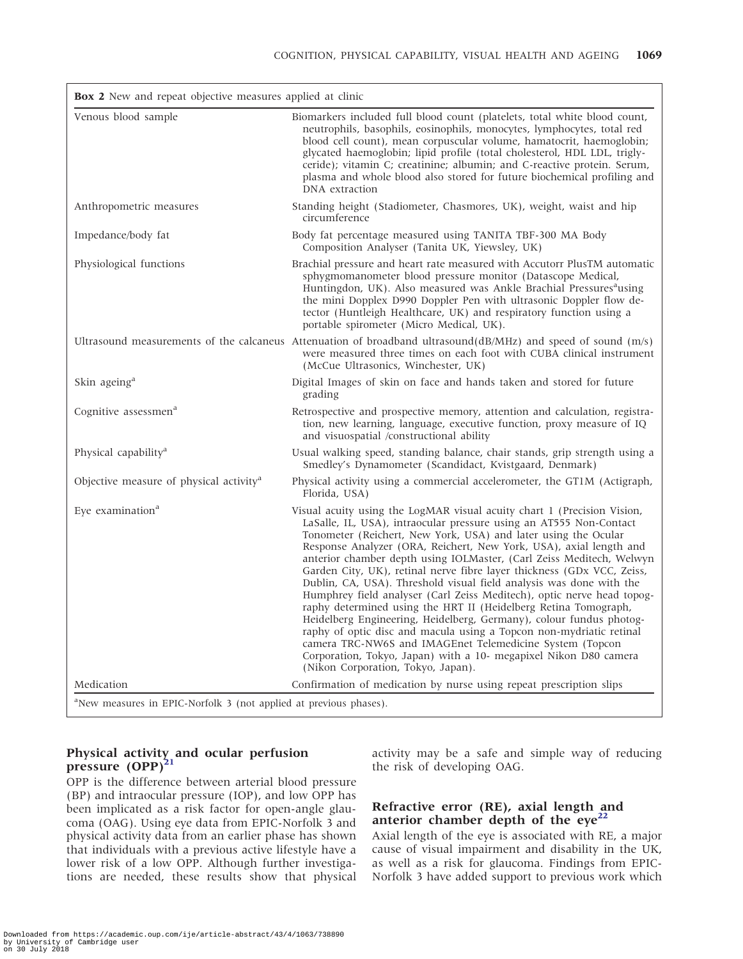| Venous blood sample                                 | Biomarkers included full blood count (platelets, total white blood count,<br>neutrophils, basophils, eosinophils, monocytes, lymphocytes, total red<br>blood cell count), mean corpuscular volume, hamatocrit, haemoglobin;<br>glycated haemoglobin; lipid profile (total cholesterol, HDL LDL, trigly-<br>ceride); vitamin C; creatinine; albumin; and C-reactive protein. Serum,<br>plasma and whole blood also stored for future biochemical profiling and<br>DNA extraction                                                                                                                                                                                                                                                                                                                                                                                                                                                                                                 |
|-----------------------------------------------------|---------------------------------------------------------------------------------------------------------------------------------------------------------------------------------------------------------------------------------------------------------------------------------------------------------------------------------------------------------------------------------------------------------------------------------------------------------------------------------------------------------------------------------------------------------------------------------------------------------------------------------------------------------------------------------------------------------------------------------------------------------------------------------------------------------------------------------------------------------------------------------------------------------------------------------------------------------------------------------|
| Anthropometric measures                             | Standing height (Stadiometer, Chasmores, UK), weight, waist and hip<br>circumference                                                                                                                                                                                                                                                                                                                                                                                                                                                                                                                                                                                                                                                                                                                                                                                                                                                                                            |
| Impedance/body fat                                  | Body fat percentage measured using TANITA TBF-300 MA Body<br>Composition Analyser (Tanita UK, Yiewsley, UK)                                                                                                                                                                                                                                                                                                                                                                                                                                                                                                                                                                                                                                                                                                                                                                                                                                                                     |
| Physiological functions                             | Brachial pressure and heart rate measured with Accutorr PlusTM automatic<br>sphygmomanometer blood pressure monitor (Datascope Medical,<br>Huntingdon, UK). Also measured was Ankle Brachial Pressures <sup>a</sup> using<br>the mini Dopplex D990 Doppler Pen with ultrasonic Doppler flow de-<br>tector (Huntleigh Healthcare, UK) and respiratory function using a<br>portable spirometer (Micro Medical, UK).                                                                                                                                                                                                                                                                                                                                                                                                                                                                                                                                                               |
|                                                     | Ultrasound measurements of the calcaneus Attenuation of broadband ultrasound( $dB/MHz$ ) and speed of sound (m/s)<br>were measured three times on each foot with CUBA clinical instrument<br>(McCue Ultrasonics, Winchester, UK)                                                                                                                                                                                                                                                                                                                                                                                                                                                                                                                                                                                                                                                                                                                                                |
| Skin ageing <sup>a</sup>                            | Digital Images of skin on face and hands taken and stored for future<br>grading                                                                                                                                                                                                                                                                                                                                                                                                                                                                                                                                                                                                                                                                                                                                                                                                                                                                                                 |
| Cognitive assessmen <sup>a</sup>                    | Retrospective and prospective memory, attention and calculation, registra-<br>tion, new learning, language, executive function, proxy measure of IQ<br>and visuospatial /constructional ability                                                                                                                                                                                                                                                                                                                                                                                                                                                                                                                                                                                                                                                                                                                                                                                 |
| Physical capability <sup>a</sup>                    | Usual walking speed, standing balance, chair stands, grip strength using a<br>Smedley's Dynamometer (Scandidact, Kvistgaard, Denmark)                                                                                                                                                                                                                                                                                                                                                                                                                                                                                                                                                                                                                                                                                                                                                                                                                                           |
| Objective measure of physical activity <sup>a</sup> | Physical activity using a commercial accelerometer, the GT1M (Actigraph,<br>Florida, USA)                                                                                                                                                                                                                                                                                                                                                                                                                                                                                                                                                                                                                                                                                                                                                                                                                                                                                       |
| Eye examination <sup>a</sup>                        | Visual acuity using the LogMAR visual acuity chart 1 (Precision Vision,<br>LaSalle, IL, USA), intraocular pressure using an AT555 Non-Contact<br>Tonometer (Reichert, New York, USA) and later using the Ocular<br>Response Analyzer (ORA, Reichert, New York, USA), axial length and<br>anterior chamber depth using IOLMaster, (Carl Zeiss Meditech, Welwyn<br>Garden City, UK), retinal nerve fibre layer thickness (GDx VCC, Zeiss,<br>Dublin, CA, USA). Threshold visual field analysis was done with the<br>Humphrey field analyser (Carl Zeiss Meditech), optic nerve head topog-<br>raphy determined using the HRT II (Heidelberg Retina Tomograph,<br>Heidelberg Engineering, Heidelberg, Germany), colour fundus photog-<br>raphy of optic disc and macula using a Topcon non-mydriatic retinal<br>camera TRC-NW6S and IMAGEnet Telemedicine System (Topcon<br>Corporation, Tokyo, Japan) with a 10- megapixel Nikon D80 camera<br>(Nikon Corporation, Tokyo, Japan). |
| Medication                                          | Confirmation of medication by nurse using repeat prescription slips                                                                                                                                                                                                                                                                                                                                                                                                                                                                                                                                                                                                                                                                                                                                                                                                                                                                                                             |

**Box 2** New and repeat objective measures applied at clinic

## Physical activity and ocular perfusion pressure  $(OPP)^{21}$

OPP is the difference between arterial blood pressure (BP) and intraocular pressure (IOP), and low OPP has been implicated as a risk factor for open-angle glaucoma (OAG). Using eye data from EPIC-Norfolk 3 and physical activity data from an earlier phase has shown that individuals with a previous active lifestyle have a lower risk of a low OPP. Although further investigations are needed, these results show that physical activity may be a safe and simple way of reducing the risk of developing OAG.

## Refractive error (RE), axial length and anterior chamber depth of the  $eye^{22}$  $eye^{22}$  $eye^{22}$

Axial length of the eye is associated with RE, a major cause of visual impairment and disability in the UK, as well as a risk for glaucoma. Findings from EPIC-Norfolk 3 have added support to previous work which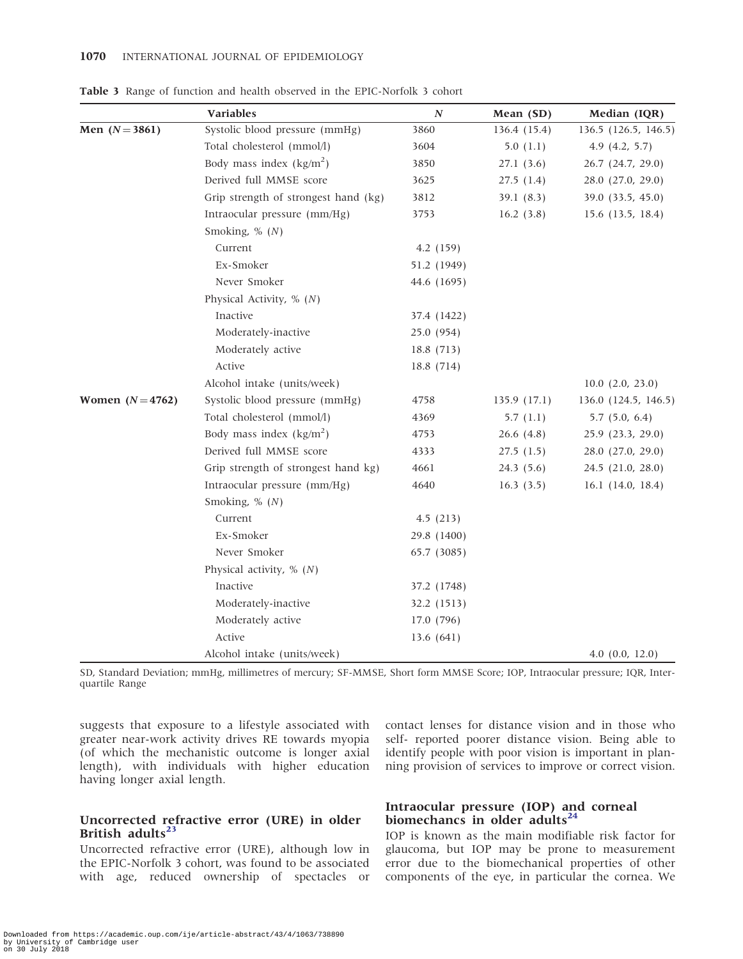|                  | <b>Variables</b>                     | $\boldsymbol{N}$ | Mean (SD)    | Median (IQR)         |
|------------------|--------------------------------------|------------------|--------------|----------------------|
| Men $(N=3861)$   | Systolic blood pressure (mmHg)       | 3860             | 136.4 (15.4) | 136.5 (126.5, 146.5) |
|                  | Total cholesterol (mmol/l)           | 3604             | 5.0(1.1)     | 4.9 $(4.2, 5.7)$     |
|                  | Body mass index $(kg/m2)$            | 3850             | 27.1(3.6)    | 26.7(24.7, 29.0)     |
|                  | Derived full MMSE score              | 3625             | 27.5(1.4)    | 28.0 (27.0, 29.0)    |
|                  | Grip strength of strongest hand (kg) | 3812             | 39.1(8.3)    | 39.0 (33.5, 45.0)    |
|                  | Intraocular pressure (mm/Hg)         | 3753             | 16.2(3.8)    | 15.6 (13.5, 18.4)    |
|                  | Smoking, $\%$ (N)                    |                  |              |                      |
|                  | Current                              | 4.2(159)         |              |                      |
|                  | Ex-Smoker                            | 51.2 (1949)      |              |                      |
|                  | Never Smoker                         | 44.6 (1695)      |              |                      |
|                  | Physical Activity, % (N)             |                  |              |                      |
|                  | Inactive                             | 37.4 (1422)      |              |                      |
|                  | Moderately-inactive                  | 25.0 (954)       |              |                      |
|                  | Moderately active                    | 18.8 (713)       |              |                      |
|                  | Active                               | 18.8 (714)       |              |                      |
|                  | Alcohol intake (units/week)          |                  |              | $10.0$ $(2.0, 23.0)$ |
| Women $(N=4762)$ | Systolic blood pressure (mmHg)       | 4758             | 135.9(17.1)  | 136.0 (124.5, 146.5) |
|                  | Total cholesterol (mmol/l)           | 4369             | 5.7(1.1)     | $5.7$ $(5.0, 6.4)$   |
|                  | Body mass index $(kg/m2)$            | 4753             | 26.6(4.8)    | 25.9 (23.3, 29.0)    |
|                  | Derived full MMSE score              | 4333             | 27.5(1.5)    | 28.0 (27.0, 29.0)    |
|                  | Grip strength of strongest hand kg)  | 4661             | 24.3(5.6)    | 24.5 (21.0, 28.0)    |
|                  | Intraocular pressure (mm/Hg)         | 4640             | 16.3(3.5)    | 16.1 $(14.0, 18.4)$  |
|                  | Smoking, % (N)                       |                  |              |                      |
|                  | Current                              | 4.5(213)         |              |                      |
|                  | Ex-Smoker                            | 29.8 (1400)      |              |                      |
|                  | Never Smoker                         | 65.7 (3085)      |              |                      |
|                  | Physical activity, $\%$ (N)          |                  |              |                      |
|                  | Inactive                             | 37.2 (1748)      |              |                      |
|                  | Moderately-inactive                  | 32.2 (1513)      |              |                      |
|                  | Moderately active                    | 17.0 (796)       |              |                      |
|                  | Active                               | 13.6 (641)       |              |                      |
|                  | Alcohol intake (units/week)          |                  |              | 4.0(0.0, 12.0)       |

<span id="page-7-0"></span>Table 3 Range of function and health observed in the EPIC-Norfolk 3 cohort

SD, Standard Deviation; mmHg, millimetres of mercury; SF-MMSE, Short form MMSE Score; IOP, Intraocular pressure; IQR, Interquartile Range

suggests that exposure to a lifestyle associated with greater near-work activity drives RE towards myopia (of which the mechanistic outcome is longer axial length), with individuals with higher education having longer axial length.

#### Uncorrected refractive error (URE) in older British adults $^{23}$  $^{23}$  $^{23}$

Uncorrected refractive error (URE), although low in the EPIC-Norfolk 3 cohort, was found to be associated with age, reduced ownership of spectacles or

contact lenses for distance vision and in those who self- reported poorer distance vision. Being able to identify people with poor vision is important in planning provision of services to improve or correct vision.

### Intraocular pressure (IOP) and corneal biomechancs in older adults<sup>[24](#page-9-0)</sup>

IOP is known as the main modifiable risk factor for glaucoma, but IOP may be prone to measurement error due to the biomechanical properties of other components of the eye, in particular the cornea. We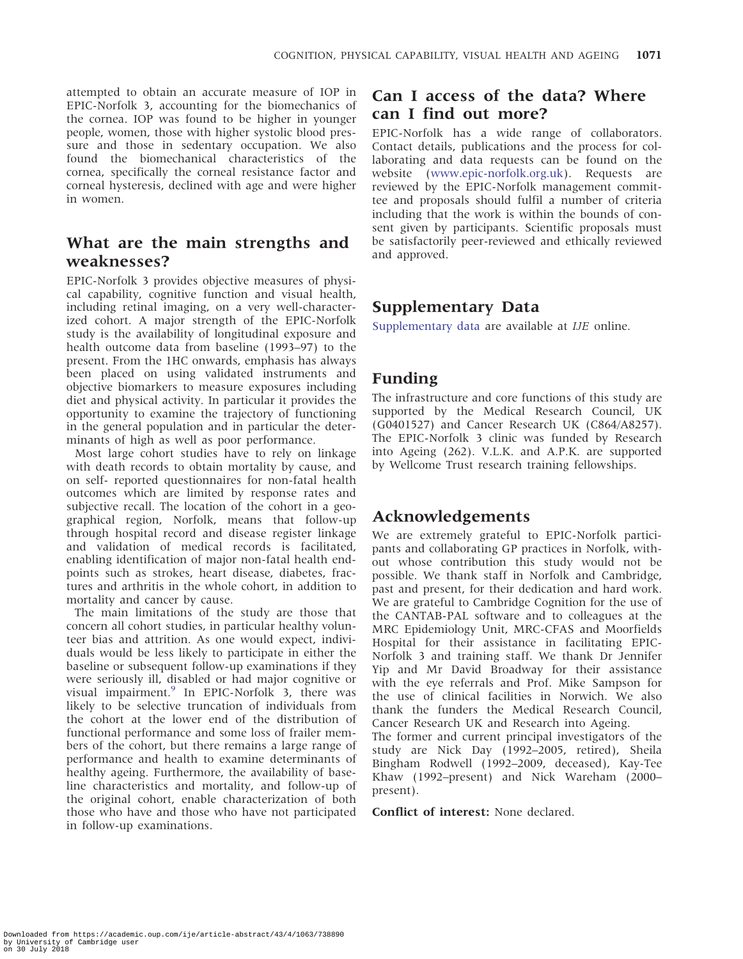attempted to obtain an accurate measure of IOP in EPIC-Norfolk 3, accounting for the biomechanics of the cornea. IOP was found to be higher in younger people, women, those with higher systolic blood pressure and those in sedentary occupation. We also found the biomechanical characteristics of the cornea, specifically the corneal resistance factor and corneal hysteresis, declined with age and were higher in women.

## What are the main strengths and weaknesses?

EPIC-Norfolk 3 provides objective measures of physical capability, cognitive function and visual health, including retinal imaging, on a very well-characterized cohort. A major strength of the EPIC-Norfolk study is the availability of longitudinal exposure and health outcome data from baseline (1993–97) to the present. From the 1HC onwards, emphasis has always been placed on using validated instruments and objective biomarkers to measure exposures including diet and physical activity. In particular it provides the opportunity to examine the trajectory of functioning in the general population and in particular the determinants of high as well as poor performance.

Most large cohort studies have to rely on linkage with death records to obtain mortality by cause, and on self- reported questionnaires for non-fatal health outcomes which are limited by response rates and subjective recall. The location of the cohort in a geographical region, Norfolk, means that follow-up through hospital record and disease register linkage and validation of medical records is facilitated, enabling identification of major non-fatal health endpoints such as strokes, heart disease, diabetes, fractures and arthritis in the whole cohort, in addition to mortality and cancer by cause.

The main limitations of the study are those that concern all cohort studies, in particular healthy volunteer bias and attrition. As one would expect, individuals would be less likely to participate in either the baseline or subsequent follow-up examinations if they were seriously ill, disabled or had major cognitive or visual impairment.<sup>[9](#page-9-0)</sup> In EPIC-Norfolk 3, there was likely to be selective truncation of individuals from the cohort at the lower end of the distribution of functional performance and some loss of frailer members of the cohort, but there remains a large range of performance and health to examine determinants of healthy ageing. Furthermore, the availability of baseline characteristics and mortality, and follow-up of the original cohort, enable characterization of both those who have and those who have not participated in follow-up examinations.

## Can I access of the data? Where can I find out more?

EPIC-Norfolk has a wide range of collaborators. Contact details, publications and the process for collaborating and data requests can be found on the website [\(www.epic-norfolk.org.uk\)](www.epic-norfolk.org.uk). Requests are reviewed by the EPIC-Norfolk management committee and proposals should fulfil a number of criteria including that the work is within the bounds of consent given by participants. Scientific proposals must be satisfactorily peer-reviewed and ethically reviewed and approved.

## Supplementary Data

[Supplementary data](http://ije.oxfordjournals.org/lookup/suppl/doi:10.1093/ije/dyt086/-/DC1) are available at IJE online.

# Funding

The infrastructure and core functions of this study are supported by the Medical Research Council, UK (G0401527) and Cancer Research UK (C864/A8257). The EPIC-Norfolk 3 clinic was funded by Research into Ageing (262). V.L.K. and A.P.K. are supported by Wellcome Trust research training fellowships.

# Acknowledgements

We are extremely grateful to EPIC-Norfolk participants and collaborating GP practices in Norfolk, without whose contribution this study would not be possible. We thank staff in Norfolk and Cambridge, past and present, for their dedication and hard work. We are grateful to Cambridge Cognition for the use of the CANTAB-PAL software and to colleagues at the MRC Epidemiology Unit, MRC-CFAS and Moorfields Hospital for their assistance in facilitating EPIC-Norfolk 3 and training staff. We thank Dr Jennifer Yip and Mr David Broadway for their assistance with the eye referrals and Prof. Mike Sampson for the use of clinical facilities in Norwich. We also thank the funders the Medical Research Council, Cancer Research UK and Research into Ageing.

The former and current principal investigators of the study are Nick Day (1992–2005, retired), Sheila Bingham Rodwell (1992–2009, deceased), Kay-Tee Khaw (1992–present) and Nick Wareham (2000– present).

Conflict of interest: None declared.